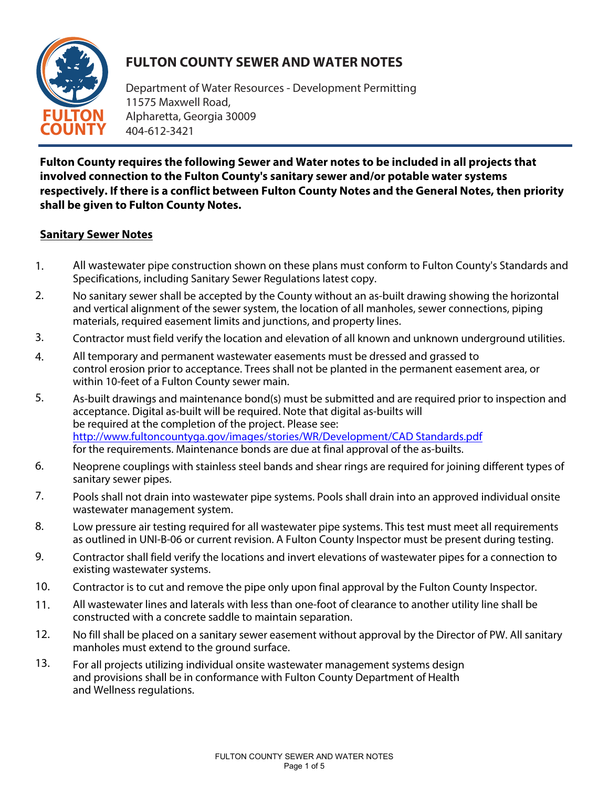

## **FULTON COUNTY SEWER AND WATER NOTES**

Department of W[ater Resources - Deve](http://www.fultoncountyga.gov/)lopment Permitting 11575 Maxwell Road, Alpharetta, Georgia 30009 404-612-3421

**Fulton County requires the following Sewer and Water notes to be included in all projects that involved connection to the Fulton County's sanitary sewer and/or potable water systems respectively. If there is a conflict between Fulton County Notes and the General Notes, then priority shall be given to Fulton County Notes.** 

## **Sanitary Sewer Notes**

- All wastewater pipe construction shown on these plans must conform to Fulton County's Standards and Specifications, including Sanitary Sewer Regulations latest copy. 1.
- No sanitary sewer shall be accepted by the County without an as-built drawing showing the horizontal and vertical alignment of the sewer system, the location of all manholes, sewer connections, piping materials, required easement limits and junctions, and property lines. 2.
- Contractor must field verify the location and elevation of all known and unknown underground utilities. 3.
- All temporary and permanent wastewater easements must be dressed and grassed to control erosion prior to acceptance. Trees shall not be planted in the permanent easement area, or within 10-feet of a Fulton County sewer main. 4.
- As-bu[ilt drawings and maintenance bond\(s\) must be submitted and are required prior to i](http://www.fultoncountyga.gov/images/stories/WR/Development/CAD_Standards.pdf)nspection and acceptance. Digital as-built will be required. Note that digital as-builts will be required at the completion of the project. Please see: [http://www.fultoncountyga.gov/images/stories/WR/Development/CAD Sta](http://www.fultoncountyga.gov/images/stories/WR/Development/CAD)ndards.pdf for the requirements. Maintenance bonds are due at final approval of the as-builts. 5.
- Neoprene couplings with stainless steel bands and shear rings are required for joining different types of sanitary sewer pipes. 6.
- Pools shall not drain into wastewater pipe systems. Pools shall drain into an approved individual onsite wastewater management system. 7.
- Low pressure air testing required for all wastewater pipe systems. This test must meet all requirements as outlined in UNI-B-06 or current revision. A Fulton County Inspector must be present during testing. 8.
- Contractor shall field verify the locations and invert elevations of wastewater pipes for a connection to existing wastewater systems. 9.
- Contractor is to cut and remove the pipe only upon final approval by the Fulton County Inspector. 10.
- All wastewater lines and laterals with less than one-foot of clearance to another utility line shall be constructed with a concrete saddle to maintain separation. 11.
- No fill shall be placed on a sanitary sewer easement without approval by the Director of PW. All sanitary manholes must extend to the ground surface. 12.
- For all projects utilizing individual onsite wastewater management systems design and provisions shall be in conformance with Fulton County Department of Health and Wellness regulations. 13.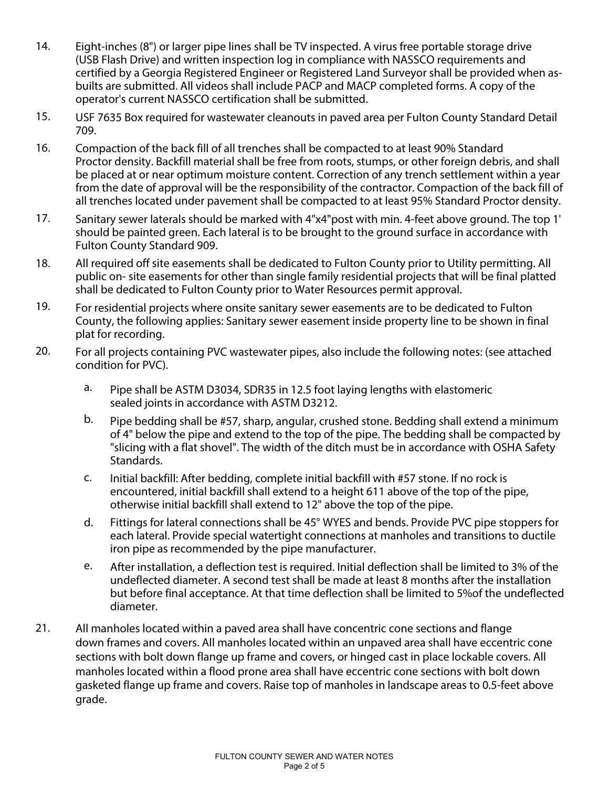- Eight-inches (8") or larger pipe lines shall be TV inspected. A virus free portable storage drive (USB Flash Drive) and written inspection log in compliance with NASSCO requirements and certified by a Georgia Registered Engineer or Registered Land Surveyor shall be provided when asbuilts are submitted. All videos shall include PACP and MACP completed forms. A copy of the operator's current NASSCO certification shall be submitted. 14.
- USF 7635 Box required for wastewater cleanouts in paved area per Fulton County Standard Detail 709. 15.
- Compaction of the back fill of all trenches shall be compacted to at least 90% Standard Proctor density. Backfill material shall be free from roots, stumps, or other foreign debris, and shall be placed at or near optimum moisture content. Correction of any trench settlement within a year from the date of approval will be the responsibility of the contractor. Compaction of the back fill of all trenches located under pavement shall be compacted to at least 95% Standard Proctor density. 16.
- Sanitary sewer laterals should be marked with 4"x4"post with min. 4-feet above ground. The top 1' should be painted green. Each lateral is to be brought to the ground surface in accordance with Fulton County Standard 909. 17.
- All required off site easements shall be dedicated to Fulton County prior to Utility permitting. All public on- site easements for other than single family residential projects that will be final platted shall be dedicated to Fulton County prior to Water Resources permit approval. 18.
- For residential projects where onsite sanitary sewer easements are to be dedicated to Fulton County, the following applies: Sanitary sewer easement inside property line to be shown in final plat for recording. 19.
- For all projects containing PVC wastewater pipes, also include the following notes: (see attached condition for PVC). 20.
	- Pipe shall be ASTM D3034, SDR35 in 12.5 foot laying lengths with elastomeric sealed joints in accordance with ASTM D3212. a.
	- Pipe bedding shall be #57, sharp, angular, crushed stone. Bedding shall extend a minimum of 4" below the pipe and extend to the top of the pipe. The bedding shall be compacted by "slicing with a flat shovel". The width of the ditch must be in accordance with OSHA Safety Standards. b.
	- Initial backfill: After bedding, complete initial backfill with #57 stone. If no rock is encountered, initial backfill shall extend to a height 611 above of the top of the pipe, otherwise initial backfill shall extend to 12" above the top of the pipe. c.
	- Fittings for lateral connections shall be 45° WYES and bends. Provide PVC pipe stoppers for each lateral. Provide special watertight connections at manholes and transitions to ductile iron pipe as recommended by the pipe manufacturer. d.
	- After installation, a deflection test is required. Initial deflection shall be limited to 3% of the undeflected diameter. A second test shall be made at least 8 months after the installation but before final acceptance. At that time deflection shall be limited to 5%of the undeflected diameter. e.
- All manholes located within a paved area shall have concentric cone sections and flange down frames and covers. All manholes located within an unpaved area shall have eccentric cone sections with bolt down flange up frame and covers, or hinged cast in place lockable covers. All manholes located within a flood prone area shall have eccentric cone sections with bolt down gasketed flange up frame and covers. Raise top of manholes in landscape areas to 0.5-feet above grade. 21.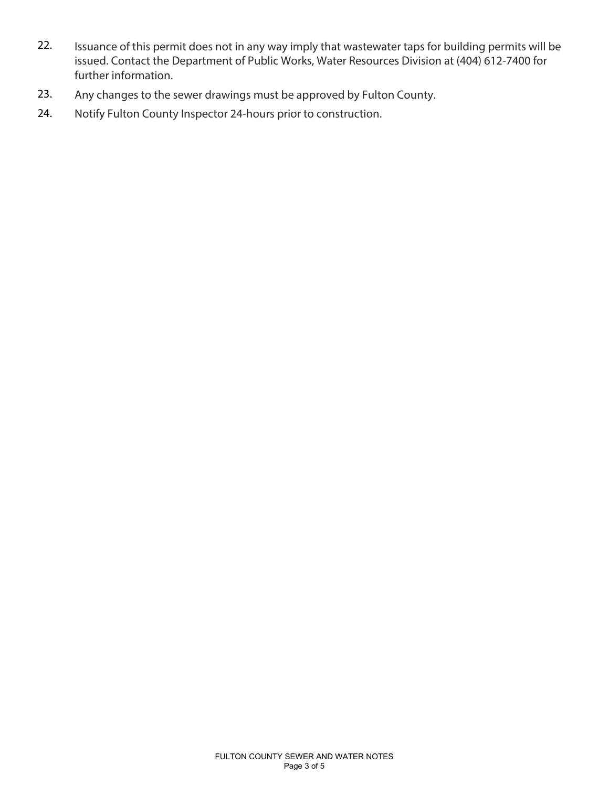- Issuance of this permit does not in any way imply that wastewater taps for building permits will be issued. Contact the Department of Public Works, Water Resources Division at (404) 612-7400 for further information. 22.
- Any changes to the sewer d[rawings must be appr](http://www.fultoncountyga.gov/)oved by Fulton County. 23.
- Notify Fulton County Inspector 24-hours prior to construction. 24.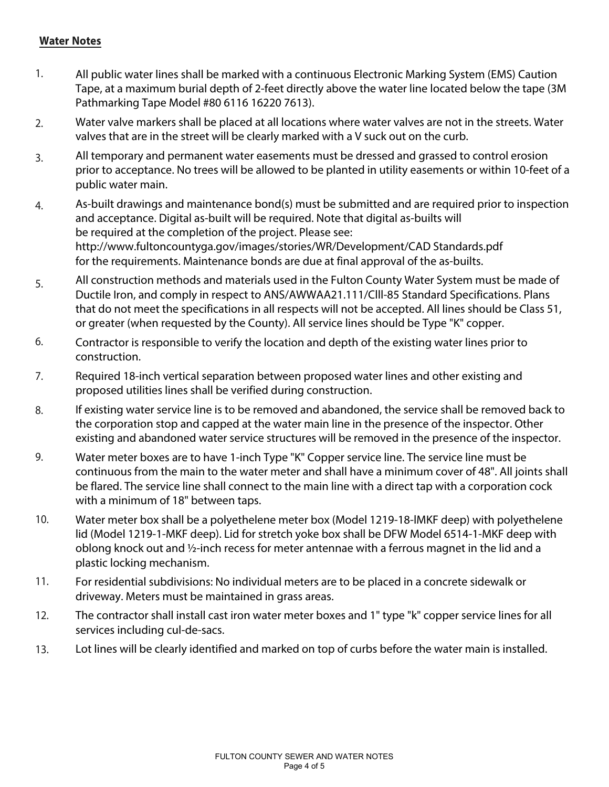## **Water Notes**

- All public water lines shall be marked with a continuous Electronic Marking System (EMS) Caution Tape, at a maximum burial depth of 2-feet directly above the water line located below the tape (3M Pathmarking Tape Model #80 6116 16220 7613). 1.
- Water valve markers shall be placed at all locations where water valves are not in the streets. Water valves that are in the street will be clearly marked with a V suck out on the curb. 2.
- All temporary and permanent water easements must be dressed and grassed to control erosion prior to acceptance. No trees will be allowed to be planted in utility easements or within 10-feet of a public water main. 3.
- As-built drawings and maintenance bond(s) must be submitted and are required prior to inspection and acceptance. Digital as-built will be required. Note that digital as-builts will be required at the completion of the project. Please see: [http://www.fultoncountyga.gov/images/stories/WR/Development/CAD St](http://www.fultoncountyga.gov/images/stories/WR/Development/CAD)andards.pdf for the requirements. Maintenance bonds are due at final approval of the as-builts. 4.
- All construction methods and materials used in the Fulton County Water System must be made of Ductile Iron, and comply in respect to ANS/AWWAA21.111/Clll-85 Standard Specifications. Plans that do not meet the specifications in all respects will not be accepted. All lines should be Class 51, or greater (when requested by the County). All service lines should be Type "K" copper. 5.
- Contractor is responsible to verify the location and depth of the existing water lines prior to construction. 6.
- Required 18-inch vertical separation between proposed water lines and other existing and proposed utilities lines shall be verified during construction. 7.
- If existing water service line is to be removed and abandoned, the service shall be removed back to the corporation stop and capped at the water main line in the presence of the inspector. Other existing and abandoned water service structures will be removed in the presence of the inspector. 8.
- Water meter boxes are to have 1-inch Type "K" Copper service line. The service line must be continuous from the main to the water meter and shall have a minimum cover of 48". All joints shall be flared. The service line shall connect to the main line with a direct tap with a corporation cock with a minimum of 18" between taps. 9.
- Water meter box shall be a polyethelene meter box (Model 1219-18-lMKF deep) with polyethelene lid (Model 1219-1-MKF deep). Lid for stretch yoke box shall be DFW Model 6514-1-MKF deep with oblong knock out and ½-inch recess for meter antennae with a ferrous magnet in the lid and a plastic locking mechanism. 10.
- For residential subdivisions: No individual meters are to be placed in a concrete sidewalk or driveway. Meters must be maintained in grass areas. 11.
- The contractor shall install cast iron water meter boxes and 1" type "k" copper service lines for all services including cul-de-sacs. 12.
- Lot lines will be clearly identified and marked on top of curbs before the water main is installed. 13.